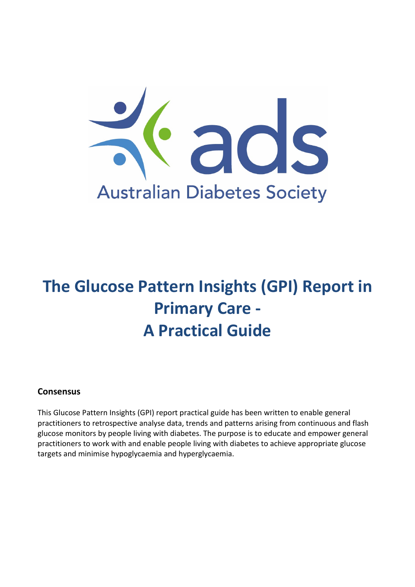

# **The Glucose Pattern Insights (GPI) Report in Primary Care - A Practical Guide**

# **Consensus**

This Glucose Pattern Insights (GPI) report practical guide has been written to enable general practitioners to retrospective analyse data, trends and patterns arising from continuous and flash glucose monitors by people living with diabetes. The purpose is to educate and empower general practitioners to work with and enable people living with diabetes to achieve appropriate glucose targets and minimise hypoglycaemia and hyperglycaemia.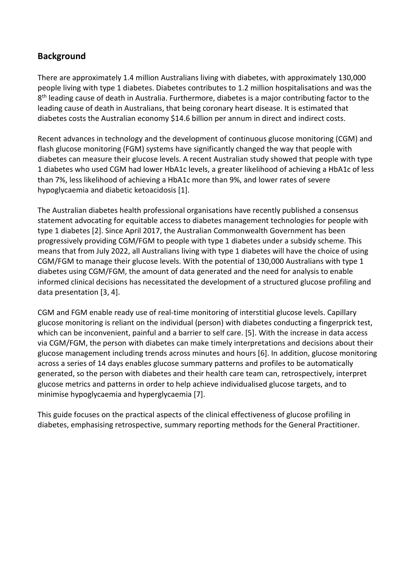# **Background**

There are approximately 1.4 million Australians living with diabetes, with approximately 130,000 people living with type 1 diabetes. Diabetes contributes to 1.2 million hospitalisations and was the 8<sup>th</sup> leading cause of death in Australia. Furthermore, diabetes is a major contributing factor to the leading cause of death in Australians, that being coronary heart disease. It is estimated that diabetes costs the Australian economy \$14.6 billion per annum in direct and indirect costs.

Recent advances in technology and the development of continuous glucose monitoring (CGM) and flash glucose monitoring (FGM) systems have significantly changed the way that people with diabetes can measure their glucose levels. A recent Australian study showed that people with type 1 diabetes who used CGM had lower HbA1c levels, a greater likelihood of achieving a HbA1c of less than 7%, less likelihood of achieving a HbA1c more than 9%, and lower rates of severe hypoglycaemia and diabetic ketoacidosis [1].

The Australian diabetes health professional organisations have recently published a consensus statement advocating for equitable access to diabetes management technologies for people with type 1 diabetes [2]. Since April 2017, the Australian Commonwealth Government has been progressively providing CGM/FGM to people with type 1 diabetes under a subsidy scheme. This means that from July 2022, all Australians living with type 1 diabetes will have the choice of using CGM/FGM to manage their glucose levels. With the potential of 130,000 Australians with type 1 diabetes using CGM/FGM, the amount of data generated and the need for analysis to enable informed clinical decisions has necessitated the development of a structured glucose profiling and data presentation [3, 4].

CGM and FGM enable ready use of real-time monitoring of interstitial glucose levels. Capillary glucose monitoring is reliant on the individual (person) with diabetes conducting a fingerprick test, which can be inconvenient, painful and a barrier to self care. [5]. With the increase in data access via CGM/FGM, the person with diabetes can make timely interpretations and decisions about their glucose management including trends across minutes and hours [6]. In addition, glucose monitoring across a series of 14 days enables glucose summary patterns and profiles to be automatically generated, so the person with diabetes and their health care team can, retrospectively, interpret glucose metrics and patterns in order to help achieve individualised glucose targets, and to minimise hypoglycaemia and hyperglycaemia [7].

This guide focuses on the practical aspects of the clinical effectiveness of glucose profiling in diabetes, emphasising retrospective, summary reporting methods for the General Practitioner.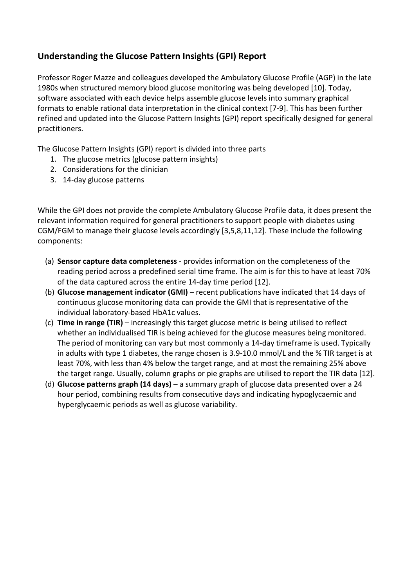# **Understanding the Glucose Pattern Insights (GPI) Report**

Professor Roger Mazze and colleagues developed the Ambulatory Glucose Profile (AGP) in the late 1980s when structured memory blood glucose monitoring was being developed [10]. Today, software associated with each device helps assemble glucose levels into summary graphical formats to enable rational data interpretation in the clinical context [7-9]. This has been further refined and updated into the Glucose Pattern Insights (GPI) report specifically designed for general practitioners.

The Glucose Pattern Insights (GPI) report is divided into three parts

- 1. The glucose metrics (glucose pattern insights)
- 2. Considerations for the clinician
- 3. 14-day glucose patterns

While the GPI does not provide the complete Ambulatory Glucose Profile data, it does present the relevant information required for general practitioners to support people with diabetes using CGM/FGM to manage their glucose levels accordingly [3,5,8,11,12]. These include the following components:

- (a) **Sensor capture data completeness** provides information on the completeness of the reading period across a predefined serial time frame. The aim is for this to have at least 70% of the data captured across the entire 14-day time period [12].
- (b) **Glucose management indicator (GMI)** recent publications have indicated that 14 days of continuous glucose monitoring data can provide the GMI that is representative of the individual laboratory-based HbA1c values.
- (c) **Time in range (TIR)** increasingly this target glucose metric is being utilised to reflect whether an individualised TIR is being achieved for the glucose measures being monitored. The period of monitoring can vary but most commonly a 14-day timeframe is used. Typically in adults with type 1 diabetes, the range chosen is 3.9-10.0 mmol/L and the % TIR target is at least 70%, with less than 4% below the target range, and at most the remaining 25% above the target range. Usually, column graphs or pie graphs are utilised to report the TIR data [12].
- (d) **Glucose patterns graph (14 days)** a summary graph of glucose data presented over a 24 hour period, combining results from consecutive days and indicating hypoglycaemic and hyperglycaemic periods as well as glucose variability.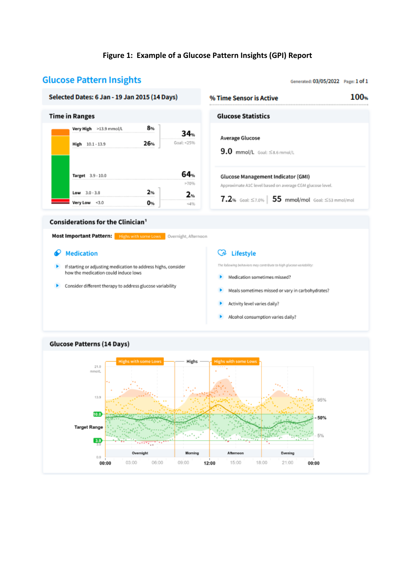# **Figure 1: Example of a Glucose Pattern Insights (GPI) Report**

# **Glucose Pattern Insights**

### Generated: 03/05/2022 Page: 1 of 1

100%

### Selected Dates: 6 Jan - 19 Jan 2015 (14 Days) % Time Sensor is Active **Time in Ranges** ¢

| Very High >13.9 mmol/L<br>A company's a strategies and such as a company of the strategies and |     |                        |
|------------------------------------------------------------------------------------------------|-----|------------------------|
| $10.1 - 13.9$                                                                                  | 76a | Goal: <25%             |
| Target 3.9 - 10.0                                                                              |     | ---------------------- |
|                                                                                                |     |                        |
|                                                                                                |     |                        |
| Low $3.0 - 3.8$                                                                                |     |                        |

| Slucose Statistics                                                                                                                                                        |
|---------------------------------------------------------------------------------------------------------------------------------------------------------------------------|
| Average Glucose<br>$9.0$ mmol/L Goal: $\leq$ 8.6 mmol/L                                                                                                                   |
| Glucose Management Indicator (GMI)<br>Approximate A1C level based on average CGM glucose level.<br>$7.2$ % Goal: $\leq$ 7.0% $\vert$ 55 mmol/mol Goal: $\leq$ 53 mmol/mol |

### **Considerations for the Clinician1**

Most Important Pattern: Highs with some Lows | Overnight, Afternoon

## $\bullet$  Medication

- If starting or adjusting medication to address highs, consider ٠ how the medication could induce lows
- > Consider different therapy to address glucose variability

## **C**A Lifestyle

The following behaviors may contribute to high glucose variability:

- Medication sometimes missed?
- Meals sometimes missed or vary in carbohydrates?
- Activity level varies daily?
- Alcohol consumption varies daily?



# **Glucose Patterns (14 Days)**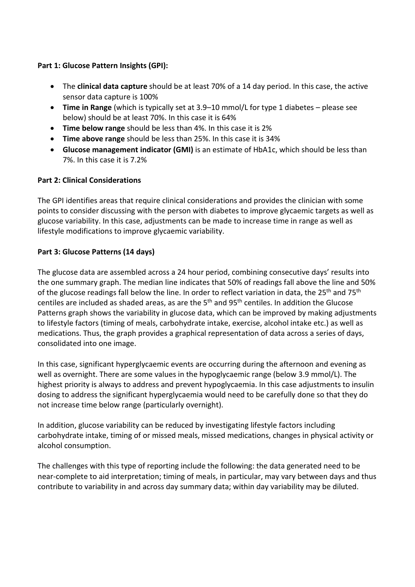# **Part 1: Glucose Pattern Insights (GPI):**

- The **clinical data capture** should be at least 70% of a 14 day period. In this case, the active sensor data capture is 100%
- **Time in Range** (which is typically set at 3.9–10 mmol/L for type 1 diabetes please see below) should be at least 70%. In this case it is 64%
- **Time below range** should be less than 4%. In this case it is 2%
- **Time above range** should be less than 25%. In this case it is 34%
- **Glucose management indicator (GMI)** is an estimate of HbA1c, which should be less than 7%. In this case it is 7.2%

# **Part 2: Clinical Considerations**

The GPI identifies areas that require clinical considerations and provides the clinician with some points to consider discussing with the person with diabetes to improve glycaemic targets as well as glucose variability. In this case, adjustments can be made to increase time in range as well as lifestyle modifications to improve glycaemic variability.

# **Part 3: Glucose Patterns (14 days)**

The glucose data are assembled across a 24 hour period, combining consecutive days' results into the one summary graph. The median line indicates that 50% of readings fall above the line and 50% of the glucose readings fall below the line. In order to reflect variation in data, the 25<sup>th</sup> and 75<sup>th</sup> centiles are included as shaded areas, as are the 5th and 95th centiles. In addition the Glucose Patterns graph shows the variability in glucose data, which can be improved by making adjustments to lifestyle factors (timing of meals, carbohydrate intake, exercise, alcohol intake etc.) as well as medications. Thus, the graph provides a graphical representation of data across a series of days, consolidated into one image.

In this case, significant hyperglycaemic events are occurring during the afternoon and evening as well as overnight. There are some values in the hypoglycaemic range (below 3.9 mmol/L). The highest priority is always to address and prevent hypoglycaemia. In this case adjustments to insulin dosing to address the significant hyperglycaemia would need to be carefully done so that they do not increase time below range (particularly overnight).

In addition, glucose variability can be reduced by investigating lifestyle factors including carbohydrate intake, timing of or missed meals, missed medications, changes in physical activity or alcohol consumption.

The challenges with this type of reporting include the following: the data generated need to be near-complete to aid interpretation; timing of meals, in particular, may vary between days and thus contribute to variability in and across day summary data; within day variability may be diluted.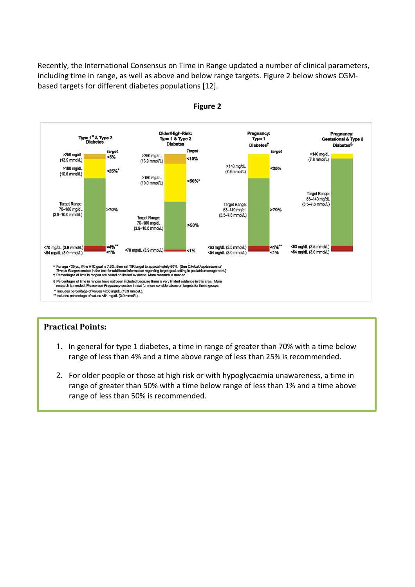Recently, the International Consensus on Time in Range updated a number of clinical parameters, including time in range, as well as above and below range targets. Figure 2 below shows CGMbased targets for different diabetes populations [12].





# **Practical Points:**

- 1. In general for type 1 diabetes, a time in range of greater than 70% with a time below range of less than 4% and a time above range of less than 25% is recommended.
- 2. For older people or those at high risk or with hypoglycaemia unawareness, a time in range of greater than 50% with a time below range of less than 1% and a time above range of less than 50% is recommended.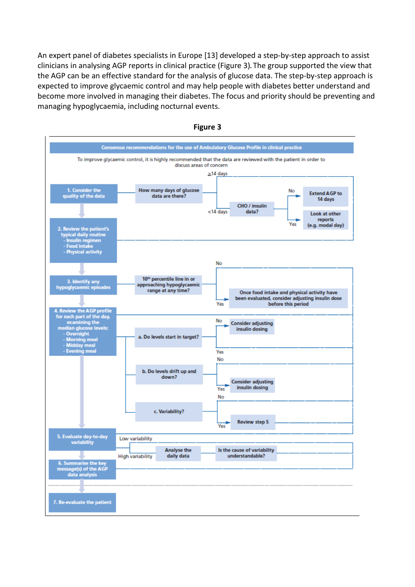An expert panel of diabetes specialists in Europe [13] developed a step-by-step approach to assist clinicians in analysing AGP reports in clinical practice (Figure 3)**.** The group supported the view that the AGP can be an effective standard for the analysis of glucose data. The step-by-step approach is expected to improve glycaemic control and may help people with diabetes better understand and become more involved in managing their diabetes. The focus and priority should be preventing and managing hypoglycaemia, including nocturnal events.



**Figure 3**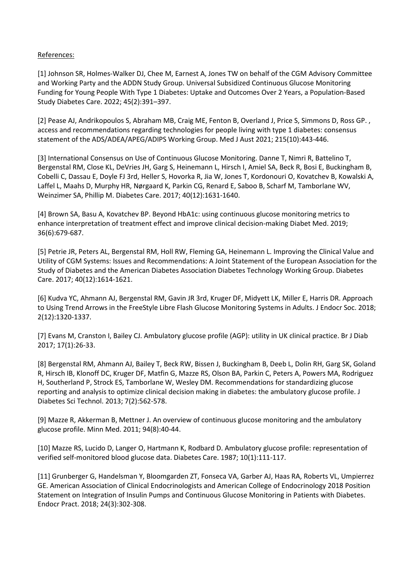# References:

[1] Johnson SR, Holmes-Walker DJ, Chee M, Earnest A, Jones TW on behalf of the CGM Advisory Committee and Working Party and the ADDN Study Group. Universal Subsidized Continuous Glucose Monitoring Funding for Young People With Type 1 Diabetes: Uptake and Outcomes Over 2 Years, a Population-Based Study Diabetes Care. 2022; 45(2):391–397.

[2] Pease AJ, Andrikopoulos S, Abraham MB, Craig ME, Fenton B, Overland J, Price S, Simmons D, Ross GP. , access and recommendations regarding technologies for people living with type 1 diabetes: consensus statement of the ADS/ADEA/APEG/ADIPS Working Group. Med J Aust 2021; 215(10):443-446.

[3] International Consensus on Use of Continuous Glucose Monitoring. Danne T, Nimri R, Battelino T, Bergenstal RM, Close KL, DeVries JH, Garg S, Heinemann L, Hirsch I, Amiel SA, Beck R, Bosi E, Buckingham B, Cobelli C, Dassau E, Doyle FJ 3rd, Heller S, Hovorka R, Jia W, Jones T, Kordonouri O, Kovatchev B, Kowalski A, Laffel L, Maahs D, Murphy HR, Nørgaard K, Parkin CG, Renard E, Saboo B, Scharf M, Tamborlane WV, Weinzimer SA, Phillip M. Diabetes Care. 2017; 40(12):1631-1640.

[4] Brown SA, Basu A, Kovatchev BP. Beyond HbA1c: using continuous glucose monitoring metrics to enhance interpretation of treatment effect and improve clinical decision-making Diabet Med. 2019; 36(6):679-687.

[5] Petrie JR, Peters AL, Bergenstal RM, Holl RW, Fleming GA, Heinemann L. Improving the Clinical Value and Utility of CGM Systems: Issues and Recommendations: A Joint Statement of the European Association for the Study of Diabetes and the American Diabetes Association Diabetes Technology Working Group. Diabetes Care. 2017; 40(12):1614-1621.

[6] Kudva YC, Ahmann AJ, Bergenstal RM, Gavin JR 3rd, Kruger DF, Midyett LK, Miller E, Harris DR. Approach to Using Trend Arrows in the FreeStyle Libre Flash Glucose Monitoring Systems in Adults. J Endocr Soc. 2018; 2(12):1320-1337.

[7] Evans M, Cranston I, Bailey CJ. Ambulatory glucose profile (AGP): utility in UK clinical practice. Br J Diab 2017; 17(1):26-33.

[8] Bergenstal RM, Ahmann AJ, Bailey T, Beck RW, Bissen J, Buckingham B, Deeb L, Dolin RH, Garg SK, Goland R, Hirsch IB, Klonoff DC, Kruger DF, Matfin G, Mazze RS, Olson BA, Parkin C, Peters A, Powers MA, Rodriguez H, Southerland P, Strock ES, Tamborlane W, Wesley DM. Recommendations for standardizing glucose reporting and analysis to optimize clinical decision making in diabetes: the ambulatory glucose profile. J Diabetes Sci Technol. 2013; 7(2):562-578.

[9] Mazze R, Akkerman B, Mettner J. An overview of continuous glucose monitoring and the ambulatory glucose profile. Minn Med. 2011; 94(8):40-44.

[10] Mazze RS, Lucido D, Langer O, Hartmann K, Rodbard D. Ambulatory glucose profile: representation of verified self-monitored blood glucose data. Diabetes Care. 1987; 10(1):111-117.

[11[\] Grunberger G,](https://www.ncbi.nlm.nih.gov/pubmed/?term=Grunberger%20G%5BAuthor%5D&cauthor=true&cauthor_uid=29547046) [Handelsman Y,](https://www.ncbi.nlm.nih.gov/pubmed/?term=Handelsman%20Y%5BAuthor%5D&cauthor=true&cauthor_uid=29547046) [Bloomgarden ZT,](https://www.ncbi.nlm.nih.gov/pubmed/?term=Bloomgarden%20ZT%5BAuthor%5D&cauthor=true&cauthor_uid=29547046) Fonseca VA, Garber AJ, Haas RA, Roberts VL, [Umpierrez](https://www.ncbi.nlm.nih.gov/pubmed/?term=Umpierrez%20GE%5BAuthor%5D&cauthor=true&cauthor_uid=29547046)  [GE.](https://www.ncbi.nlm.nih.gov/pubmed/?term=Umpierrez%20GE%5BAuthor%5D&cauthor=true&cauthor_uid=29547046) American Association of Clinical Endocrinologists and American College of Endocrinology 2018 Position Statement on Integration of Insulin Pumps and Continuous Glucose Monitoring in Patients with Diabetes. Endocr Pract. 2018; 24(3):302-308.